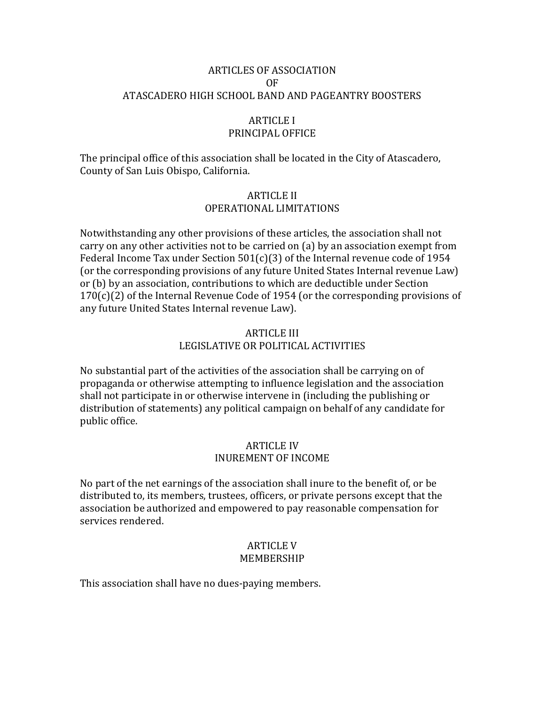## ARTICLES OF ASSOCIATION OF ATASCADERO HIGH SCHOOL BAND AND PAGEANTRY BOOSTERS

#### ARTICLE I PRINCIPAL OFFICE

The principal office of this association shall be located in the City of Atascadero, County of San Luis Obispo, California.

### ARTICLE II OPERATIONAL LIMITATIONS

Notwithstanding any other provisions of these articles, the association shall not carry on any other activities not to be carried on (a) by an association exempt from Federal Income Tax under Section 501(c)(3) of the Internal revenue code of 1954 (or the corresponding provisions of any future United States Internal revenue Law) or (b) by an association, contributions to which are deductible under Section  $170(c)(2)$  of the Internal Revenue Code of 1954 (or the corresponding provisions of any future United States Internal revenue Law).

# ARTICLE III LEGISLATIVE OR POLITICAL ACTIVITIES

No substantial part of the activities of the association shall be carrying on of propaganda or otherwise attempting to influence legislation and the association shall not participate in or otherwise intervene in (including the publishing or distribution of statements) any political campaign on behalf of any candidate for public office.

### ARTICLE IV INUREMENT OF INCOME

No part of the net earnings of the association shall inure to the benefit of, or be distributed to, its members, trustees, officers, or private persons except that the association be authorized and empowered to pay reasonable compensation for services rendered.

### ARTICLE V MEMBERSHIP

This association shall have no dues-paying members.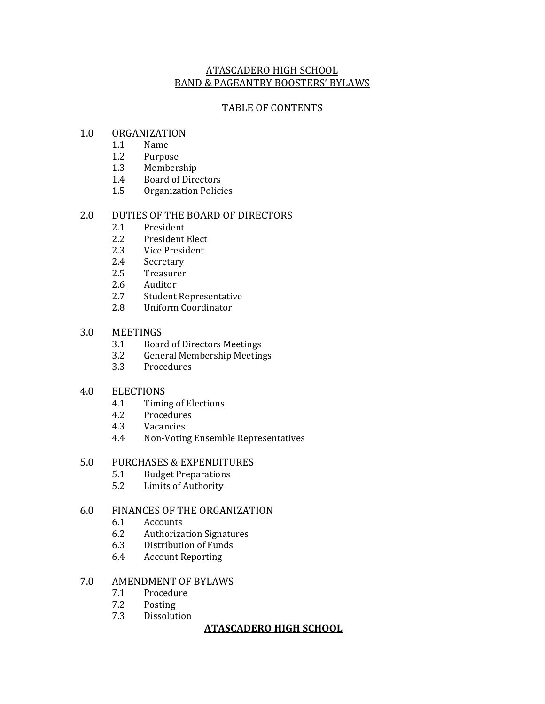## ATASCADERO HIGH SCHOOL BAND & PAGEANTRY BOOSTERS' BYLAWS

### TABLE OF CONTENTS

#### 1.0 ORGANIZATION

- 1.1 Name
- 1.2 Purpose
- 1.3 Membership
- 1.4 Board of Directors
- 1.5 Organization Policies

### 2.0 DUTIES OF THE BOARD OF DIRECTORS

- 2.1 President
- 2.2 President Elect
- 2.3 Vice President
- 2.4 Secretary
- 2.5 Treasurer
- 2.6 Auditor
- 2.7 Student Representative
- 2.8 Uniform Coordinator

#### 3.0 MEETINGS

- 3.1 Board of Directors Meetings
- 3.2 General Membership Meetings
- 3.3 Procedures

### 4.0 ELECTIONS

- 4.1 Timing of Elections
- 4.2 Procedures
- 4.3 Vacancies
- 4.4 Non-Voting Ensemble Representatives

#### 5.0 PURCHASES & EXPENDITURES

- 5.1 Budget Preparations
- 5.2 Limits of Authority

### 6.0 FINANCES OF THE ORGANIZATION

- 6.1 Accounts
- 6.2 Authorization Signatures
- 6.3 Distribution of Funds
- 6.4 Account Reporting

#### 7.0 AMENDMENT OF BYLAWS

- 7.1 Procedure
- 7.2 Posting
- 7.3 Dissolution

### **ATASCADERO HIGH SCHOOL**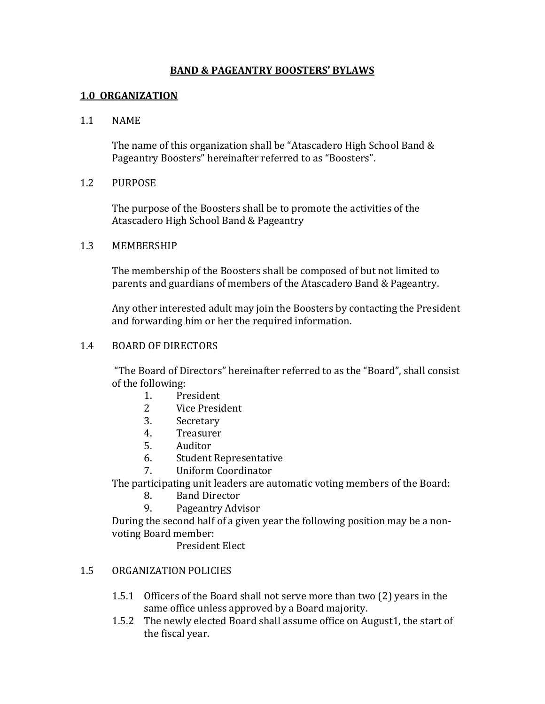## **BAND & PAGEANTRY BOOSTERS' BYLAWS**

## **1.0 ORGANIZATION**

### 1.1 NAME

The name of this organization shall be "Atascadero High School Band & Pageantry Boosters" hereinafter referred to as "Boosters".

### 1.2 PURPOSE

The purpose of the Boosters shall be to promote the activities of the Atascadero High School Band & Pageantry

#### 1.3 MEMBERSHIP

The membership of the Boosters shall be composed of but not limited to parents and guardians of members of the Atascadero Band & Pageantry.

Any other interested adult may join the Boosters by contacting the President and forwarding him or her the required information.

#### 1.4 BOARD OF DIRECTORS

"The Board of Directors" hereinafter referred to as the "Board", shall consist of the following:

- 1. President
- 2 Vice President
- 3. Secretary
- 4. Treasurer
- 5. Auditor
- 6. Student Representative
- 7. Uniform Coordinator

The participating unit leaders are automatic voting members of the Board:

- 8. Band Director
- 9. Pageantry Advisor

During the second half of a given year the following position may be a nonvoting Board member:

President Elect

### 1.5 ORGANIZATION POLICIES

- 1.5.1 Officers of the Board shall not serve more than two (2) years in the same office unless approved by a Board majority.
- 1.5.2 The newly elected Board shall assume office on August1, the start of the fiscal year.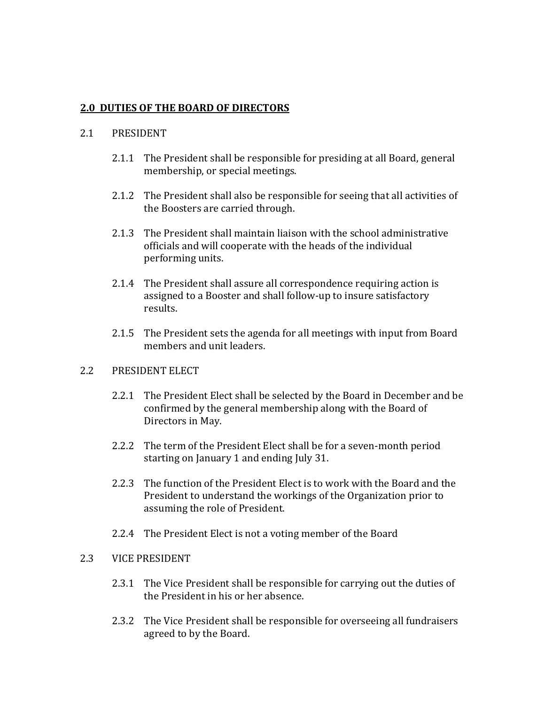## **2.0 DUTIES OF THE BOARD OF DIRECTORS**

### 2.1 PRESIDENT

- 2.1.1 The President shall be responsible for presiding at all Board, general membership, or special meetings.
- 2.1.2 The President shall also be responsible for seeing that all activities of the Boosters are carried through.
- 2.1.3 The President shall maintain liaison with the school administrative officials and will cooperate with the heads of the individual performing units.
- 2.1.4 The President shall assure all correspondence requiring action is assigned to a Booster and shall follow-up to insure satisfactory results.
- 2.1.5 The President sets the agenda for all meetings with input from Board members and unit leaders.

### 2.2 PRESIDENT ELECT

- 2.2.1 The President Elect shall be selected by the Board in December and be confirmed by the general membership along with the Board of Directors in May.
- 2.2.2 The term of the President Elect shall be for a seven-month period starting on January 1 and ending July 31.
- 2.2.3 The function of the President Elect is to work with the Board and the President to understand the workings of the Organization prior to assuming the role of President.
- 2.2.4 The President Elect is not a voting member of the Board

## 2.3 VICE PRESIDENT

- 2.3.1 The Vice President shall be responsible for carrying out the duties of the President in his or her absence.
- 2.3.2 The Vice President shall be responsible for overseeing all fundraisers agreed to by the Board.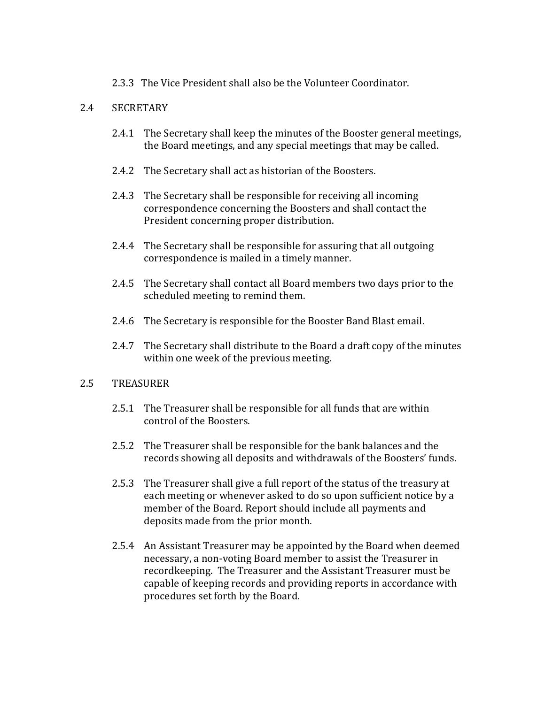2.3.3 The Vice President shall also be the Volunteer Coordinator.

# 2.4 SECRETARY

- 2.4.1 The Secretary shall keep the minutes of the Booster general meetings, the Board meetings, and any special meetings that may be called.
- 2.4.2 The Secretary shall act as historian of the Boosters.
- 2.4.3 The Secretary shall be responsible for receiving all incoming correspondence concerning the Boosters and shall contact the President concerning proper distribution.
- 2.4.4 The Secretary shall be responsible for assuring that all outgoing correspondence is mailed in a timely manner.
- 2.4.5 The Secretary shall contact all Board members two days prior to the scheduled meeting to remind them.
- 2.4.6 The Secretary is responsible for the Booster Band Blast email.
- 2.4.7 The Secretary shall distribute to the Board a draft copy of the minutes within one week of the previous meeting.

# 2.5 TREASURER

- 2.5.1 The Treasurer shall be responsible for all funds that are within control of the Boosters.
- 2.5.2 The Treasurer shall be responsible for the bank balances and the records showing all deposits and withdrawals of the Boosters' funds.
- 2.5.3 The Treasurer shall give a full report of the status of the treasury at each meeting or whenever asked to do so upon sufficient notice by a member of the Board. Report should include all payments and deposits made from the prior month.
- 2.5.4 An Assistant Treasurer may be appointed by the Board when deemed necessary, a non-voting Board member to assist the Treasurer in recordkeeping. The Treasurer and the Assistant Treasurer must be capable of keeping records and providing reports in accordance with procedures set forth by the Board.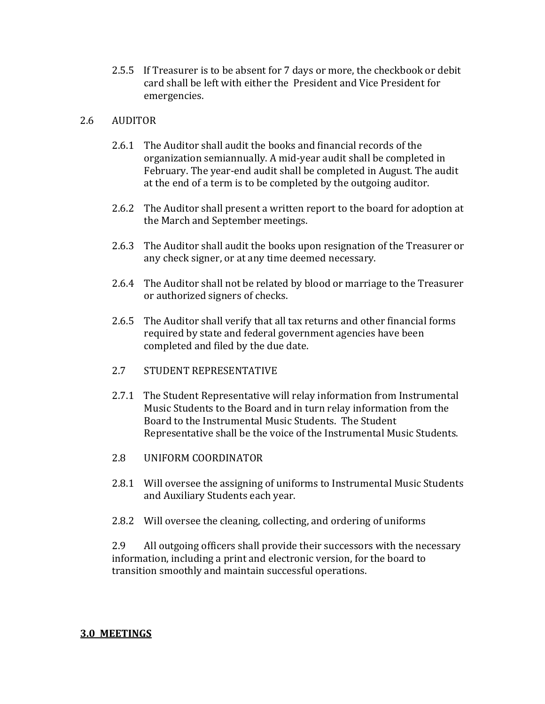2.5.5 If Treasurer is to be absent for 7 days or more, the checkbook or debit card shall be left with either the President and Vice President for emergencies.

## 2.6 AUDITOR

- 2.6.1 The Auditor shall audit the books and financial records of the organization semiannually. A mid-year audit shall be completed in February. The year-end audit shall be completed in August. The audit at the end of a term is to be completed by the outgoing auditor.
- 2.6.2 The Auditor shall present a written report to the board for adoption at the March and September meetings.
- 2.6.3 The Auditor shall audit the books upon resignation of the Treasurer or any check signer, or at any time deemed necessary.
- 2.6.4 The Auditor shall not be related by blood or marriage to the Treasurer or authorized signers of checks.
- 2.6.5 The Auditor shall verify that all tax returns and other financial forms required by state and federal government agencies have been completed and filed by the due date.
- 2.7 STUDENT REPRESENTATIVE
- 2.7.1 The Student Representative will relay information from Instrumental Music Students to the Board and in turn relay information from the Board to the Instrumental Music Students. The Student Representative shall be the voice of the Instrumental Music Students.
- 2.8 UNIFORM COORDINATOR
- 2.8.1 Will oversee the assigning of uniforms to Instrumental Music Students and Auxiliary Students each year.
- 2.8.2 Will oversee the cleaning, collecting, and ordering of uniforms

2.9 All outgoing officers shall provide their successors with the necessary information, including a print and electronic version, for the board to transition smoothly and maintain successful operations.

# **3.0 MEETINGS**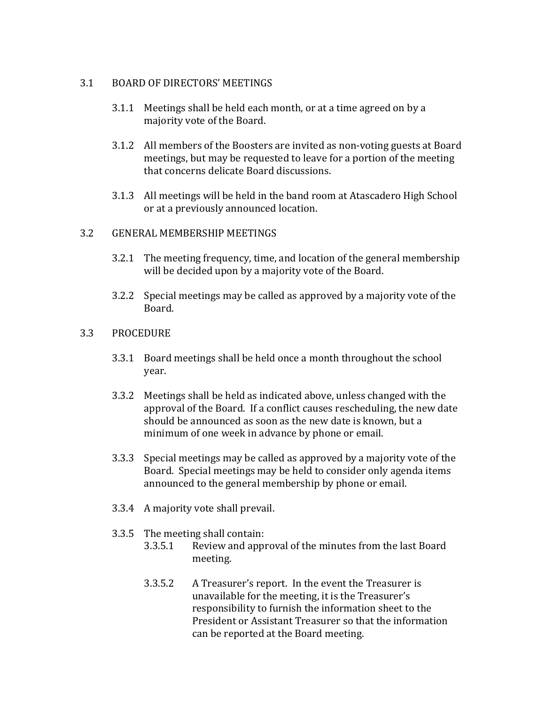## 3.1 BOARD OF DIRECTORS' MEETINGS

- 3.1.1 Meetings shall be held each month, or at a time agreed on by a majority vote of the Board.
- 3.1.2 All members of the Boosters are invited as non-voting guests at Board meetings, but may be requested to leave for a portion of the meeting that concerns delicate Board discussions.
- 3.1.3 All meetings will be held in the band room at Atascadero High School or at a previously announced location.

### 3.2 GENERAL MEMBERSHIP MEETINGS

- 3.2.1 The meeting frequency, time, and location of the general membership will be decided upon by a majority vote of the Board.
- 3.2.2 Special meetings may be called as approved by a majority vote of the Board.

## 3.3 PROCEDURE

- 3.3.1 Board meetings shall be held once a month throughout the school year.
- 3.3.2 Meetings shall be held as indicated above, unless changed with the approval of the Board. If a conflict causes rescheduling, the new date should be announced as soon as the new date is known, but a minimum of one week in advance by phone or email.
- 3.3.3 Special meetings may be called as approved by a majority vote of the Board. Special meetings may be held to consider only agenda items announced to the general membership by phone or email.
- 3.3.4 A majority vote shall prevail.
- 3.3.5 The meeting shall contain:
	- 3.3.5.1 Review and approval of the minutes from the last Board meeting.
	- 3.3.5.2 A Treasurer's report. In the event the Treasurer is unavailable for the meeting, it is the Treasurer's responsibility to furnish the information sheet to the President or Assistant Treasurer so that the information can be reported at the Board meeting.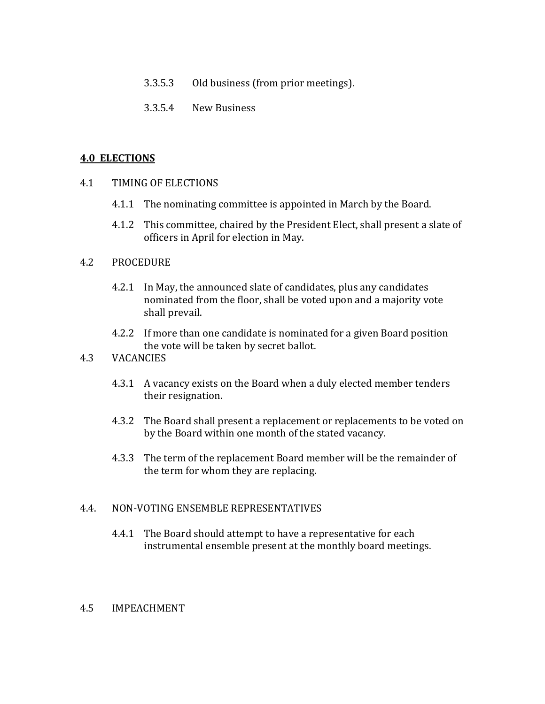- 3.3.5.3 Old business (from prior meetings).
- 3.3.5.4 New Business

### **4.0 ELECTIONS**

- 4.1 TIMING OF ELECTIONS
	- 4.1.1 The nominating committee is appointed in March by the Board.
	- 4.1.2 This committee, chaired by the President Elect, shall present a slate of officers in April for election in May.

### 4.2 PROCEDURE

- 4.2.1 In May, the announced slate of candidates, plus any candidates nominated from the floor, shall be voted upon and a majority vote shall prevail.
- 4.2.2 If more than one candidate is nominated for a given Board position the vote will be taken by secret ballot.

### 4.3 VACANCIES

- 4.3.1 A vacancy exists on the Board when a duly elected member tenders their resignation.
- 4.3.2 The Board shall present a replacement or replacements to be voted on by the Board within one month of the stated vacancy.
- 4.3.3 The term of the replacement Board member will be the remainder of the term for whom they are replacing.

# 4.4. NON-VOTING ENSEMBLE REPRESENTATIVES

4.4.1 The Board should attempt to have a representative for each instrumental ensemble present at the monthly board meetings.

### 4.5 IMPEACHMENT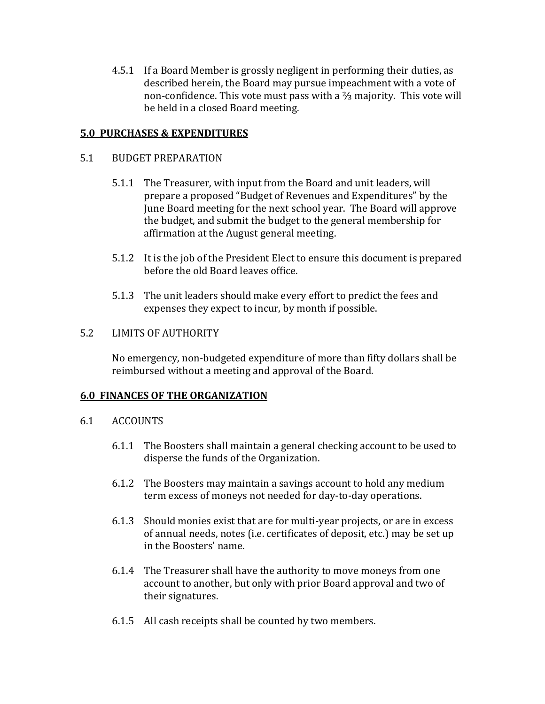4.5.1 If a Board Member is grossly negligent in performing their duties, as described herein, the Board may pursue impeachment with a vote of non-confidence. This vote must pass with a ⅔ majority. This vote will be held in a closed Board meeting.

# **5.0 PURCHASES & EXPENDITURES**

## 5.1 BUDGET PREPARATION

- 5.1.1 The Treasurer, with input from the Board and unit leaders, will prepare a proposed "Budget of Revenues and Expenditures" by the June Board meeting for the next school year. The Board will approve the budget, and submit the budget to the general membership for affirmation at the August general meeting.
- 5.1.2 It is the job of the President Elect to ensure this document is prepared before the old Board leaves office.
- 5.1.3 The unit leaders should make every effort to predict the fees and expenses they expect to incur, by month if possible.

# 5.2 LIMITS OF AUTHORITY

No emergency, non-budgeted expenditure of more than fifty dollars shall be reimbursed without a meeting and approval of the Board.

# **6.0 FINANCES OF THE ORGANIZATION**

- 6.1 ACCOUNTS
	- 6.1.1 The Boosters shall maintain a general checking account to be used to disperse the funds of the Organization.
	- 6.1.2 The Boosters may maintain a savings account to hold any medium term excess of moneys not needed for day-to-day operations.
	- 6.1.3 Should monies exist that are for multi-year projects, or are in excess of annual needs, notes (i.e. certificates of deposit, etc.) may be set up in the Boosters' name.
	- 6.1.4 The Treasurer shall have the authority to move moneys from one account to another, but only with prior Board approval and two of their signatures.
	- 6.1.5 All cash receipts shall be counted by two members.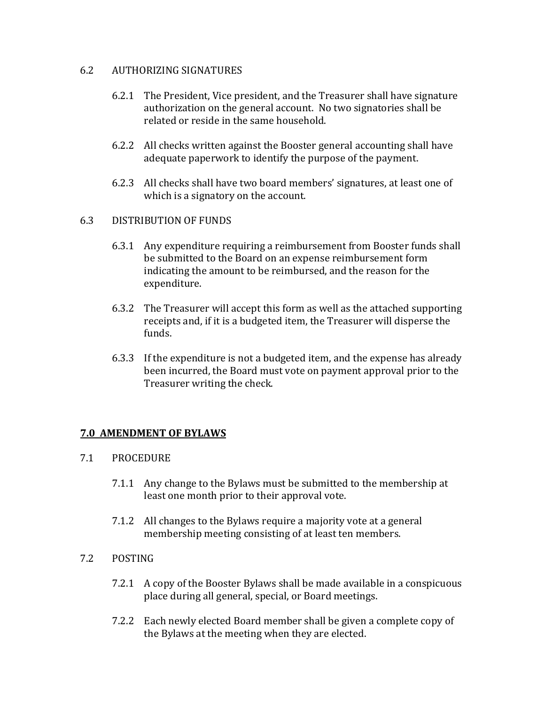# 6.2 AUTHORIZING SIGNATURES

- 6.2.1 The President, Vice president, and the Treasurer shall have signature authorization on the general account. No two signatories shall be related or reside in the same household.
- 6.2.2 All checks written against the Booster general accounting shall have adequate paperwork to identify the purpose of the payment.
- 6.2.3 All checks shall have two board members' signatures, at least one of which is a signatory on the account.

# 6.3 DISTRIBUTION OF FUNDS

- 6.3.1 Any expenditure requiring a reimbursement from Booster funds shall be submitted to the Board on an expense reimbursement form indicating the amount to be reimbursed, and the reason for the expenditure.
- 6.3.2 The Treasurer will accept this form as well as the attached supporting receipts and, if it is a budgeted item, the Treasurer will disperse the funds.
- 6.3.3 If the expenditure is not a budgeted item, and the expense has already been incurred, the Board must vote on payment approval prior to the Treasurer writing the check.

# **7.0 AMENDMENT OF BYLAWS**

# 7.1 PROCEDURE

- 7.1.1 Any change to the Bylaws must be submitted to the membership at least one month prior to their approval vote.
- 7.1.2 All changes to the Bylaws require a majority vote at a general membership meeting consisting of at least ten members.

# 7.2 POSTING

- 7.2.1 A copy of the Booster Bylaws shall be made available in a conspicuous place during all general, special, or Board meetings.
- 7.2.2 Each newly elected Board member shall be given a complete copy of the Bylaws at the meeting when they are elected.